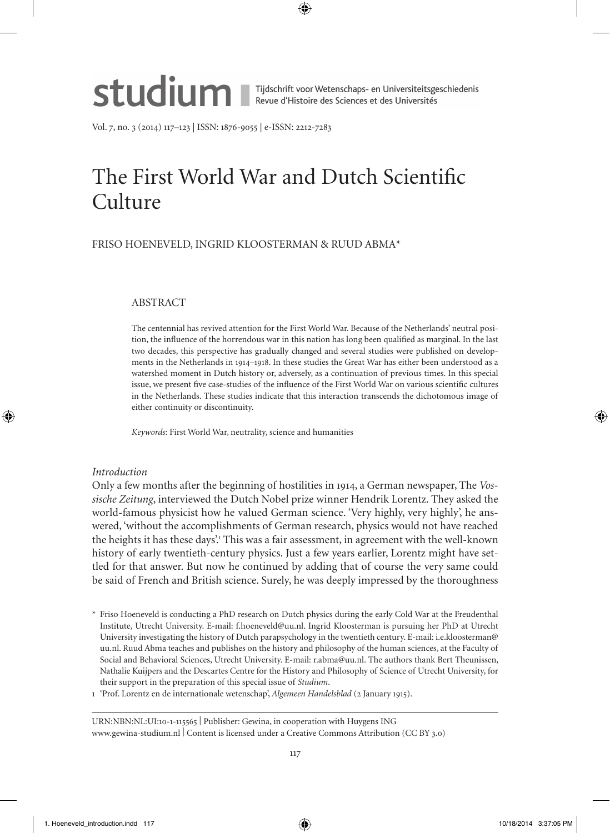

Vol. 7, no. 3 (2014) 117–123 | ISSN: 1876-9055 | e-ISSN: 2212-7283

# The First World War and Dutch Scientific Culture

## Friso Hoeneveld, Ingrid Kloosterman & Ruud Abma\*

## **ABSTRACT**

The centennial has revived attention for the First World War. Because of the Netherlands' neutral position, the influence of the horrendous war in this nation has long been qualified as marginal. In the last two decades, this perspective has gradually changed and several studies were published on developments in the Netherlands in 1914–1918. In these studies the Great War has either been understood as a watershed moment in Dutch history or, adversely, as a continuation of previous times. In this special issue, we present five case-studies of the influence of the First World War on various scientific cultures in the Netherlands. These studies indicate that this interaction transcends the dichotomous image of either continuity or discontinuity.

*Keywords*: First World War, neutrality, science and humanities

## *Introduction*

Only a few months after the beginning of hostilities in 1914, a German newspaper, The *Vossische Zeitung*, interviewed the Dutch Nobel prize winner Hendrik Lorentz. They asked the world-famous physicist how he valued German science. 'Very highly, very highly', he answered, 'without the accomplishments of German research, physics would not have reached the heights it has these days'. This was a fair assessment, in agreement with the well-known history of early twentieth-century physics. Just a few years earlier, Lorentz might have settled for that answer. But now he continued by adding that of course the very same could be said of French and British science. Surely, he was deeply impressed by the thoroughness

- \* Friso Hoeneveld is conducting a PhD research on Dutch physics during the early Cold War at the Freudenthal Institute, Utrecht University. E-mail: f.hoeneveld@uu.nl. Ingrid Kloosterman is pursuing her PhD at Utrecht University investigating the history of Dutch parapsychology in the twentieth century. E-mail: i.e.kloosterman@ uu.nl. Ruud Abma teaches and publishes on the history and philosophy of the human sciences, at the Faculty of Social and Behavioral Sciences, Utrecht University. E-mail: r.abma@uu.nl. The authors thank Bert Theunissen, Nathalie Kuijpers and the Descartes Centre for the History and Philosophy of Science of Utrecht University, for their support in the preparation of this special issue of *Studium*.
- 1 'Prof. Lorentz en de internationale wetenschap', *Algemeen Handelsblad* (2 January 1915).

URN:NBN:NL:UI:10-1-115565 | Publisher: Gewina, in cooperation with Huygens ING www.gewina-studium.nl | Content is licensed under a Creative Commons Attribution (CC BY 3.0)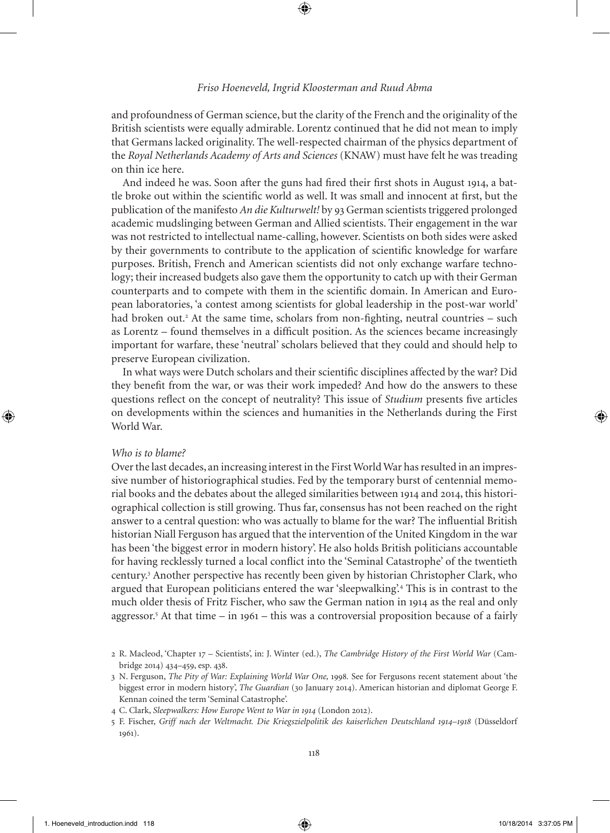and profoundness of German science, but the clarity of the French and the originality of the British scientists were equally admirable. Lorentz continued that he did not mean to imply that Germans lacked originality. The well-respected chairman of the physics department of the *Royal Netherlands Academy of Arts and Sciences* (KNAW) must have felt he was treading on thin ice here.

And indeed he was. Soon after the guns had fired their first shots in August 1914, a battle broke out within the scientific world as well. It was small and innocent at first, but the publication of the manifesto *An die Kulturwelt!* by 93 German scientists triggered prolonged academic mudslinging between German and Allied scientists. Their engagement in the war was not restricted to intellectual name-calling, however. Scientists on both sides were asked by their governments to contribute to the application of scientific knowledge for warfare purposes. British, French and American scientists did not only exchange warfare technology; their increased budgets also gave them the opportunity to catch up with their German counterparts and to compete with them in the scientific domain. In American and European laboratories, 'a contest among scientists for global leadership in the post-war world' had broken out.<sup>2</sup> At the same time, scholars from non-fighting, neutral countries - such as Lorentz – found themselves in a difficult position. As the sciences became increasingly important for warfare, these 'neutral' scholars believed that they could and should help to preserve European civilization.

In what ways were Dutch scholars and their scientific disciplines affected by the war? Did they benefit from the war, or was their work impeded? And how do the answers to these questions reflect on the concept of neutrality? This issue of *Studium* presents five articles on developments within the sciences and humanities in the Netherlands during the First World War.

#### *Who is to blame?*

Over the last decades, an increasing interest in the First World War has resulted in an impressive number of historiographical studies. Fed by the temporary burst of centennial memorial books and the debates about the alleged similarities between 1914 and 2014, this historiographical collection is still growing. Thus far, consensus has not been reached on the right answer to a central question: who was actually to blame for the war? The influential British historian Niall Ferguson has argued that the intervention of the United Kingdom in the war has been 'the biggest error in modern history'. He also holds British politicians accountable for having recklessly turned a local conflict into the 'Seminal Catastrophe' of the twentieth century.<sup>3</sup> Another perspective has recently been given by historian Christopher Clark, who argued that European politicians entered the war 'sleepwalking'.<sup>4</sup> This is in contrast to the much older thesis of Fritz Fischer, who saw the German nation in 1914 as the real and only aggressor.<sup>5</sup> At that time – in 1961 – this was a controversial proposition because of a fairly

<sup>2</sup> R. Macleod, 'Chapter 17 – Scientists', in: J. Winter (ed.), *The Cambridge History of the First World War* (Cambridge 2014) 434–459, esp. 438.

<sup>3</sup> N. Ferguson, *The Pity of War: Explaining World War One,* 1998*.* See for Fergusons recent statement about 'the biggest error in modern history', *The Guardian* (30 January 2014). American historian and diplomat George F. Kennan coined the term 'Seminal Catastrophe'.

<sup>4</sup> C. Clark, *Sleepwalkers: How Europe Went to War in 1914* (London 2012).

<sup>5</sup> F. Fischer, *Griff nach der Weltmacht. Die Kriegszielpolitik des kaiserlichen Deutschland 1914–1918* (Düsseldorf 1961).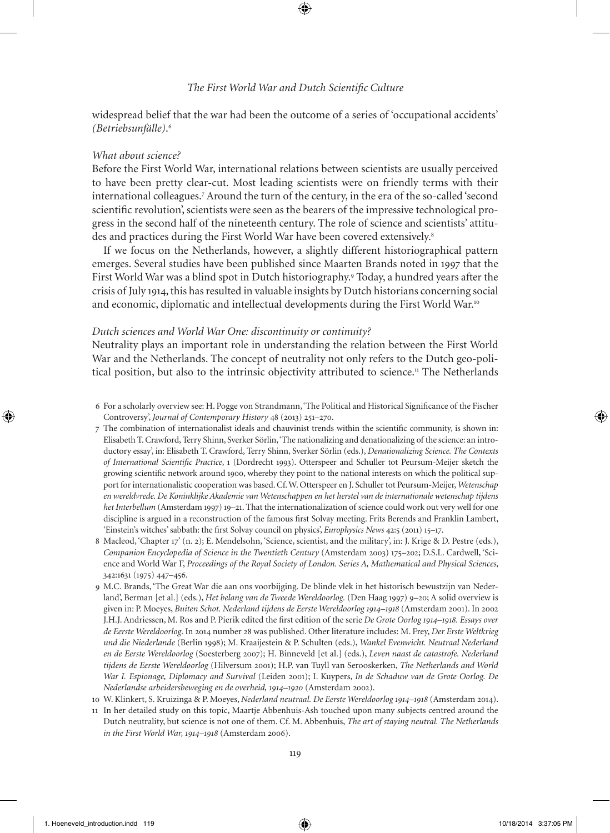### *The First World War and Dutch Scientific Culture*

widespread belief that the war had been the outcome of a series of 'occupational accidents' *(Betriebsunfälle)*. 6

## *What about science?*

Before the First World War, international relations between scientists are usually perceived to have been pretty clear-cut. Most leading scientists were on friendly terms with their international colleagues.<sup>7</sup> Around the turn of the century, in the era of the so-called 'second scientific revolution', scientists were seen as the bearers of the impressive technological progress in the second half of the nineteenth century. The role of science and scientists' attitudes and practices during the First World War have been covered extensively.<sup>8</sup>

If we focus on the Netherlands, however, a slightly different historiographical pattern emerges. Several studies have been published since Maarten Brands noted in 1997 that the First World War was a blind spot in Dutch historiography.<sup>9</sup> Today, a hundred years after the crisis of July 1914, this has resulted in valuable insights by Dutch historians concerning social and economic, diplomatic and intellectual developments during the First World War.<sup>10</sup>

#### *Dutch sciences and World War One: discontinuity or continuity?*

Neutrality plays an important role in understanding the relation between the First World War and the Netherlands. The concept of neutrality not only refers to the Dutch geo-political position, but also to the intrinsic objectivity attributed to science.<sup>11</sup> The Netherlands

- 6 For a scholarly overview see: H. Pogge von Strandmann, 'The Political and Historical Significance of the Fischer Controversy', *Journal of Contemporary History* 48 (2013) 251–270.
- 7 The combination of internationalist ideals and chauvinist trends within the scientific community, is shown in: Elisabeth T. Crawford, Terry Shinn, Sverker Sörlin, 'The nationalizing and denationalizing of the science: an introductory essay', in: Elisabeth T. Crawford, Terry Shinn, Sverker Sörlin (eds.), *Denationalizing Science. The Contexts of International Scientific Practice*, 1 (Dordrecht 1993). Otterspeer and Schuller tot Peursum-Meijer sketch the growing scientific network around 1900, whereby they point to the national interests on which the political support for internationalistic cooperation was based. Cf. W. Otterspeer en J. Schuller tot Peursum-Meijer, *Wetenschap en wereldvrede. De Koninklijke Akademie van Wetenschappen en het herstel van de internationale wetenschap tijdens het Interbellum* (Amsterdam 1997) 19–21. That the internationalization of science could work out very well for one discipline is argued in a reconstruction of the famous first Solvay meeting. Frits Berends and Franklin Lambert, 'Einstein's witches' sabbath: the first Solvay council on physics', *Europhysics News* 42:5 (2011) 15–17.
- 8 Macleod, 'Chapter 17' (n. 2); E. Mendelsohn, 'Science, scientist, and the military', in: J. Krige & D. Pestre (eds.), *Companion Encyclopedia of Science in the Twentieth Century* (Amsterdam 2003) 175–202; D.S.L. Cardwell, 'Science and World War I', *Proceedings of the Royal Society of London. Series A, Mathematical and Physical Sciences*, 342:1631 (1975) 447–456.
- 9 M.C. Brands, 'The Great War die aan ons voorbijging. De blinde vlek in het historisch bewustzijn van Nederland', Berman [et al.] (eds.), *Het belang van de Tweede Wereldoorlog.* (Den Haag 1997) 9–20; A solid overview is given in: P. Moeyes, *Buiten Schot. Nederland tijdens de Eerste Wereldoorlog 1914–1918* (Amsterdam 2001). In 2002 J.H.J. Andriessen, M. Ros and P. Pierik edited the first edition of the serie *De Grote Oorlog 1914–1918. Essays over de Eerste Wereldoorlog*. In 2014 number 28 was published. Other literature includes: M. Frey, *Der Erste Weltkrieg und die Niederlande* (Berlin 1998); M. Kraaijestein & P. Schulten (eds.), *Wankel Evenwicht. Neutraal Nederland en de Eerste Wereldoorlog* (Soesterberg 2007); H. Binneveld [et al.] (eds.), *Leven naast de catastrofe. Nederland tijdens de Eerste Wereldoorlog* (Hilversum 2001); H.P. van Tuyll van Serooskerken, *The Netherlands and World War I. Espionage, Diplomacy and Survival* (Leiden 2001); I. Kuypers, *In de Schaduw van de Grote Oorlog. De Nederlandse arbeidersbeweging en de overheid, 1914–1920* (Amsterdam 2002).
- 10 W. Klinkert, S. Kruizinga & P. Moeyes, *Nederland neutraal. De Eerste Wereldoorlog 1914–1918* (Amsterdam 2014).
- 11 In her detailed study on this topic, Maartje Abbenhuis-Ash touched upon many subjects centred around the Dutch neutrality, but science is not one of them. Cf. M. Abbenhuis, *The art of staying neutral. The Netherlands in the First World War, 1914–1918* (Amsterdam 2006).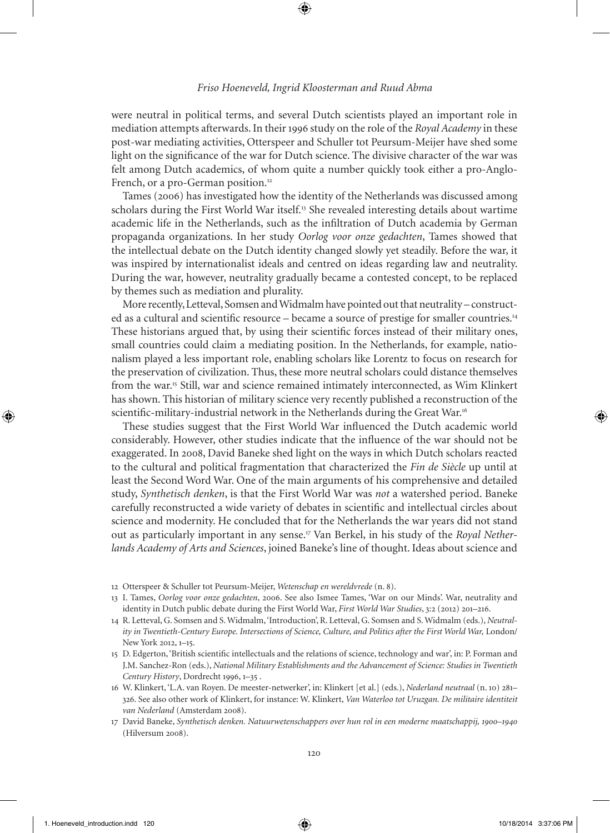were neutral in political terms, and several Dutch scientists played an important role in mediation attempts afterwards. In their 1996 study on the role of the *Royal Academy* in these post-war mediating activities, Otterspeer and Schuller tot Peursum-Meijer have shed some light on the significance of the war for Dutch science. The divisive character of the war was felt among Dutch academics, of whom quite a number quickly took either a pro-Anglo-French, or a pro-German position.<sup>12</sup>

Tames (2006) has investigated how the identity of the Netherlands was discussed among scholars during the First World War itself.<sup>13</sup> She revealed interesting details about wartime academic life in the Netherlands, such as the infiltration of Dutch academia by German propaganda organizations. In her study *Oorlog voor onze gedachten*, Tames showed that the intellectual debate on the Dutch identity changed slowly yet steadily. Before the war, it was inspired by internationalist ideals and centred on ideas regarding law and neutrality. During the war, however, neutrality gradually became a contested concept, to be replaced by themes such as mediation and plurality.

More recently, Letteval, Somsen and Widmalm have pointed out that neutrality – constructed as a cultural and scientific resource – became a source of prestige for smaller countries.<sup>14</sup> These historians argued that, by using their scientific forces instead of their military ones, small countries could claim a mediating position. In the Netherlands, for example, nationalism played a less important role, enabling scholars like Lorentz to focus on research for the preservation of civilization. Thus, these more neutral scholars could distance themselves from the war.<sup>15</sup> Still, war and science remained intimately interconnected, as Wim Klinkert has shown. This historian of military science very recently published a reconstruction of the scientific-military-industrial network in the Netherlands during the Great War.<sup>16</sup>

These studies suggest that the First World War influenced the Dutch academic world considerably. However, other studies indicate that the influence of the war should not be exaggerated. In 2008, David Baneke shed light on the ways in which Dutch scholars reacted to the cultural and political fragmentation that characterized the *Fin de Siècle* up until at least the Second Word War. One of the main arguments of his comprehensive and detailed study, *Synthetisch denken*, is that the First World War was *not* a watershed period. Baneke carefully reconstructed a wide variety of debates in scientific and intellectual circles about science and modernity. He concluded that for the Netherlands the war years did not stand out as particularly important in any sense.17 Van Berkel, in his study of the *Royal Netherlands Academy of Arts and Sciences*, joined Baneke's line of thought. Ideas about science and

- 14 R. Letteval, G. Somsen and S. Widmalm, 'Introduction', R. Letteval, G. Somsen and S. Widmalm (eds.), *Neutrality in Twentieth-Century Europe. Intersections of Science, Culture, and Politics after the First World War,* London/ New York 2012, 1–15.
- 15 D. Edgerton, 'British scientific intellectuals and the relations of science, technology and war', in: P. Forman and J.M. Sanchez-Ron (eds.), *National Military Establishments and the Advancement of Science: Studies in Twentieth Century History*, Dordrecht 1996, 1–35 .
- 16 W. Klinkert, 'L.A. van Royen. De meester-netwerker', in: Klinkert [et al.] (eds.), *Nederland neutraal* (n. 10) 281– 326. See also other work of Klinkert, for instance: W. Klinkert, *Van Waterloo tot Uruzgan. De militaire identiteit van Nederland* (Amsterdam 2008).
- 17 David Baneke, *Synthetisch denken. Natuurwetenschappers over hun rol in een moderne maatschappij, 1900–1940* (Hilversum 2008).

<sup>12</sup> Otterspeer & Schuller tot Peursum-Meijer, *Wetenschap en wereldvrede* (n. 8).

<sup>13</sup> I. Tames, *Oorlog voor onze gedachten*, 2006. See also Ismee Tames, 'War on our Minds'. War, neutrality and identity in Dutch public debate during the First World War, *First World War Studies*, 3:2 (2012) 201–216.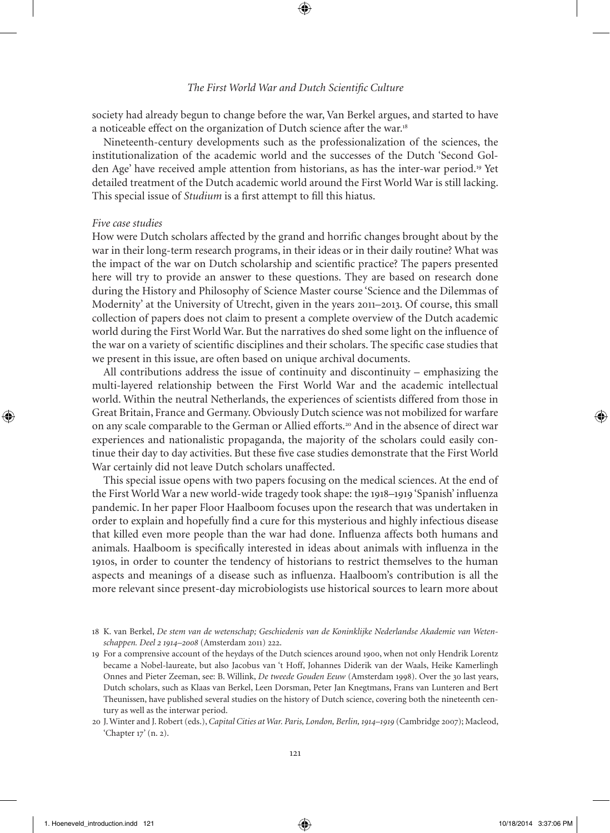society had already begun to change before the war, Van Berkel argues, and started to have a noticeable effect on the organization of Dutch science after the war.<sup>18</sup>

Nineteenth-century developments such as the professionalization of the sciences, the institutionalization of the academic world and the successes of the Dutch 'Second Golden Age' have received ample attention from historians, as has the inter-war period.<sup>19</sup> Yet detailed treatment of the Dutch academic world around the First World War is still lacking. This special issue of *Studium* is a first attempt to fill this hiatus.

#### *Five case studies*

How were Dutch scholars affected by the grand and horrific changes brought about by the war in their long-term research programs, in their ideas or in their daily routine? What was the impact of the war on Dutch scholarship and scientific practice? The papers presented here will try to provide an answer to these questions. They are based on research done during the History and Philosophy of Science Master course 'Science and the Dilemmas of Modernity' at the University of Utrecht, given in the years 2011–2013. Of course, this small collection of papers does not claim to present a complete overview of the Dutch academic world during the First World War. But the narratives do shed some light on the influence of the war on a variety of scientific disciplines and their scholars. The specific case studies that we present in this issue, are often based on unique archival documents.

All contributions address the issue of continuity and discontinuity – emphasizing the multi-layered relationship between the First World War and the academic intellectual world. Within the neutral Netherlands, the experiences of scientists differed from those in Great Britain, France and Germany. Obviously Dutch science was not mobilized for warfare on any scale comparable to the German or Allied efforts.<sup>20</sup> And in the absence of direct war experiences and nationalistic propaganda, the majority of the scholars could easily continue their day to day activities. But these five case studies demonstrate that the First World War certainly did not leave Dutch scholars unaffected.

This special issue opens with two papers focusing on the medical sciences. At the end of the First World War a new world-wide tragedy took shape: the 1918–1919 'Spanish' influenza pandemic. In her paper Floor Haalboom focuses upon the research that was undertaken in order to explain and hopefully find a cure for this mysterious and highly infectious disease that killed even more people than the war had done. Influenza affects both humans and animals. Haalboom is specifically interested in ideas about animals with influenza in the 1910s, in order to counter the tendency of historians to restrict themselves to the human aspects and meanings of a disease such as influenza. Haalboom's contribution is all the more relevant since present-day microbiologists use historical sources to learn more about

<sup>18</sup> K. van Berkel, *De stem van de wetenschap; Geschiedenis van de Koninklijke Nederlandse Akademie van Wetenschappen. Deel 2 1914–2008* (Amsterdam 2011) 222.

<sup>19</sup> For a comprensive account of the heydays of the Dutch sciences around 1900, when not only Hendrik Lorentz became a Nobel-laureate, but also Jacobus van 't Hoff, Johannes Diderik van der Waals, Heike Kamerlingh Onnes and Pieter Zeeman, see: B. Willink, *De tweede Gouden Eeuw* (Amsterdam 1998). Over the 30 last years, Dutch scholars, such as Klaas van Berkel, Leen Dorsman, Peter Jan Knegtmans, Frans van Lunteren and Bert Theunissen, have published several studies on the history of Dutch science, covering both the nineteenth century as well as the interwar period.

<sup>20</sup> J. Winter and J. Robert (eds.), *Capital Cities at War. Paris, London, Berlin, 1914–1919* (Cambridge 2007); Macleod, 'Chapter 17' (n. 2).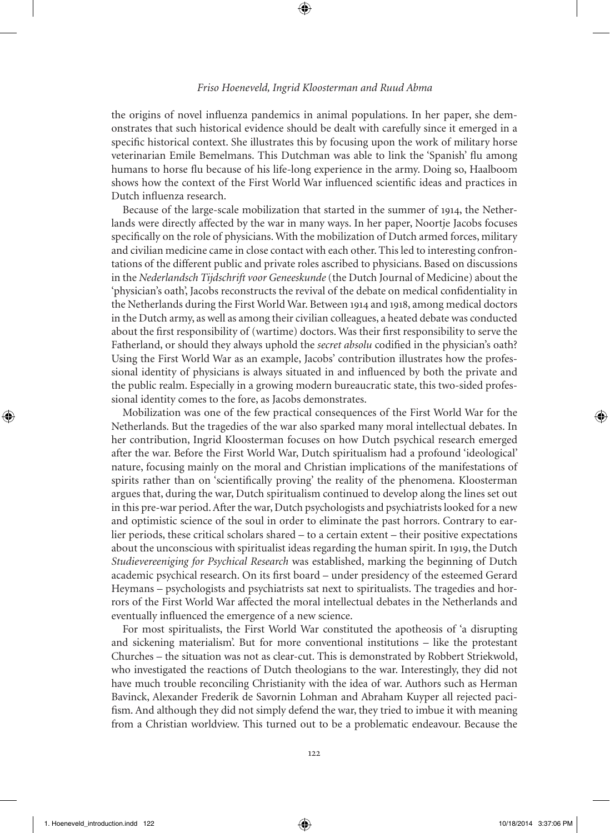the origins of novel influenza pandemics in animal populations. In her paper, she demonstrates that such historical evidence should be dealt with carefully since it emerged in a specific historical context. She illustrates this by focusing upon the work of military horse veterinarian Emile Bemelmans. This Dutchman was able to link the 'Spanish' flu among humans to horse flu because of his life-long experience in the army. Doing so, Haalboom shows how the context of the First World War influenced scientific ideas and practices in Dutch influenza research.

Because of the large-scale mobilization that started in the summer of 1914, the Netherlands were directly affected by the war in many ways. In her paper, Noortje Jacobs focuses specifically on the role of physicians. With the mobilization of Dutch armed forces, military and civilian medicine came in close contact with each other. This led to interesting confrontations of the different public and private roles ascribed to physicians. Based on discussions in the *Nederlandsch Tijdschrift voor Geneeskunde* (the Dutch Journal of Medicine) about the 'physician's oath', Jacobs reconstructs the revival of the debate on medical confidentiality in the Netherlands during the First World War. Between 1914 and 1918, among medical doctors in the Dutch army, as well as among their civilian colleagues, a heated debate was conducted about the first responsibility of (wartime) doctors. Was their first responsibility to serve the Fatherland, or should they always uphold the *secret absolu* codified in the physician's oath? Using the First World War as an example, Jacobs' contribution illustrates how the professional identity of physicians is always situated in and influenced by both the private and the public realm. Especially in a growing modern bureaucratic state, this two-sided professional identity comes to the fore, as Jacobs demonstrates.

Mobilization was one of the few practical consequences of the First World War for the Netherlands. But the tragedies of the war also sparked many moral intellectual debates. In her contribution, Ingrid Kloosterman focuses on how Dutch psychical research emerged after the war. Before the First World War, Dutch spiritualism had a profound 'ideological' nature, focusing mainly on the moral and Christian implications of the manifestations of spirits rather than on 'scientifically proving' the reality of the phenomena. Kloosterman argues that, during the war, Dutch spiritualism continued to develop along the lines set out in this pre-war period. After the war, Dutch psychologists and psychiatrists looked for a new and optimistic science of the soul in order to eliminate the past horrors. Contrary to earlier periods, these critical scholars shared – to a certain extent – their positive expectations about the unconscious with spiritualist ideas regarding the human spirit. In 1919, the Dutch *Studievereeniging for Psychical Research* was established, marking the beginning of Dutch academic psychical research. On its first board – under presidency of the esteemed Gerard Heymans – psychologists and psychiatrists sat next to spiritualists. The tragedies and horrors of the First World War affected the moral intellectual debates in the Netherlands and eventually influenced the emergence of a new science.

For most spiritualists, the First World War constituted the apotheosis of 'a disrupting and sickening materialism'. But for more conventional institutions – like the protestant Churches – the situation was not as clear-cut. This is demonstrated by Robbert Striekwold, who investigated the reactions of Dutch theologians to the war. Interestingly, they did not have much trouble reconciling Christianity with the idea of war. Authors such as Herman Bavinck, Alexander Frederik de Savornin Lohman and Abraham Kuyper all rejected pacifism. And although they did not simply defend the war, they tried to imbue it with meaning from a Christian worldview. This turned out to be a problematic endeavour. Because the